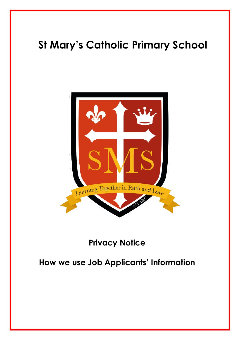

# **Privacy Notice**

# **How we use Job Applicants' Information**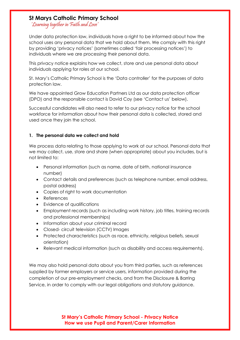'Learning together in Faith and Love'

Under data protection law, individuals have a right to be informed about how the school uses any personal data that we hold about them. We comply with this right by providing 'privacy notices' (sometimes called 'fair processing notices') to individuals where we are processing their personal data.

This privacy notice explains how we collect, store and use personal data about individuals applying for roles at our school.

St. Mary's Catholic Primary School is the 'Data controller' for the purposes of data protection law.

We have appointed Grow Education Partners Ltd as our data protection officer (DPO) and the responsible contact is David Coy (see 'Contact us' below).

Successful candidates will also need to refer to our privacy notice for the school workforce for information about how their personal data is collected, stored and used once they join the school.

#### **1. The personal data we collect and hold**

We process data relating to those applying to work at our school. Personal data that we may collect, use, store and share (when appropriate) about you includes, but is not limited to:

- Personal information (such as name, date of birth, national insurance number)
- Contact details and preferences (such as telephone number, email address, postal address)
- Copies of right to work documentation
- References
- Evidence of qualifications
- Employment records (such as including work history, job titles, training records and professional memberships)
- Information about your criminal record
- Closed- circuit television (CCTV) Images
- Protected characteristics (such as race, ethnicity, religious beliefs, sexual orientation)
- Relevant medical information (such as disability and access requirements).

We may also hold personal data about you from third parties, such as references supplied by former employers or service users, information provided during the completion of our pre-employment checks, and from the Disclosure & Barring Service, in order to comply with our legal obligations and statutory guidance.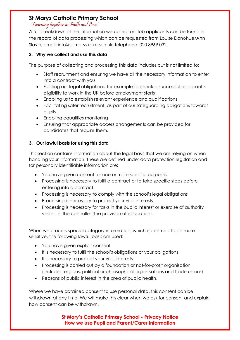#### 'Learning together in Faith and Love'

A full breakdown of the information we collect on Job applicants can be found in the record of data processing which can be requested from Louise Donohue/Ann Slavin, email: info@st-marys.rbkc.sch.uk; telephone: 020 8969 032.

## **2. Why we collect and use this data**

The purpose of collecting and processing this data includes but is not limited to:

- Staff recruitment and ensuring we have all the necessary information to enter into a contract with you
- Fulfilling our legal obligations, for example to check a successful applicant's eligibility to work in the UK before employment starts
- Enabling us to establish relevant experience and qualifications
- Facilitating safer recruitment, as part of our safeguarding obligations towards pupils
- Enabling equalities monitoring
- Ensuring that appropriate access arrangements can be provided for candidates that require them.

## **3. Our lawful basis for using this data**

This section contains information about the legal basis that we are relying on when handling your information. These are defined under data protection legislation and for personally identifiable information are:

- You have given consent for one or more specific purposes
- Processing is necessary to fulfil a contract or to take specific steps before entering into a contract
- Processing is necessary to comply with the school's legal obligations
- Processing is necessary to protect your vital interests
- Processing is necessary for tasks in the public interest or exercise of authority vested in the controller (the provision of education).

When we process special category information, which is deemed to be more sensitive, the following lawful basis are used:

- You have given explicit consent
- It is necessary to fulfil the school's obligations or your obligations
- It is necessary to protect your vital interests
- Processing is carried out by a foundation or not-for-profit organisation (includes religious, political or philosophical organisations and trade unions)
- Reasons of public interest in the area of public health.

Where we have obtained consent to use personal data, this consent can be withdrawn at any time. We will make this clear when we ask for consent and explain how consent can be withdrawn.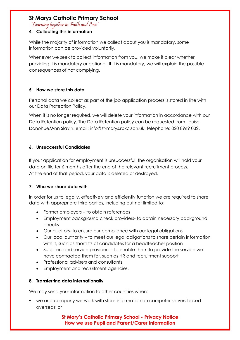'Learning together in Faith and Love'

#### **4. Collecting this information**

While the majority of information we collect about you is mandatory, some information can be provided voluntarily.

Whenever we seek to collect information from you, we make it clear whether providing it is mandatory or optional. If it is mandatory, we will explain the possible consequences of not complying.

#### **5. How we store this data**

Personal data we collect as part of the job application process is stored in line with our Data Protection Policy.

When it is no longer required, we will delete your information in accordance with our Data Retention policy. The Data Retention policy can be requested from Louise Donohue/Ann Slavin, email: info@st-marys.rbkc.sch.uk; telephone: 020 8969 032.

#### **6. Unsuccessful Candidates**

If your application for employment is unsuccessful, the organisation will hold your data on file for 6 months after the end of the relevant recruitment process. At the end of that period, your data is deleted or destroyed.

#### **7. Who we share data with**

In order for us to legally, effectively and efficiently function we are required to share data with appropriate third parties, including but not limited to:

- Former employers to obtain references
- Employment background check providers- to obtain necessary background checks
- Our auditors- to ensure our compliance with our legal obligations
- Our local authority to meet our legal obligations to share certain information with it, such as shortlists of candidates for a headteacher position
- Suppliers and service providers to enable them to provide the service we have contracted them for, such as HR and recruitment support
- Professional advisers and consultants
- Employment and recruitment agencies.

#### **8. Transferring data internationally**

We may send your information to other countries when:

■ we or a company we work with store information on computer servers based overseas; or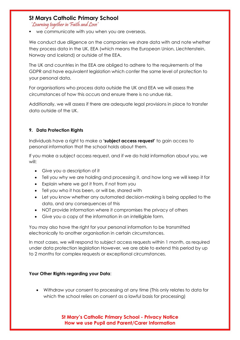'Learning together in Faith and Love'

■ we communicate with you when you are overseas.

We conduct due diligence on the companies we share data with and note whether they process data in the UK, EEA (which means the European Union, Liechtenstein, Norway and Iceland) or outside of the EEA.

The UK and countries in the EEA are obliged to adhere to the requirements of the GDPR and have equivalent legislation which confer the same level of protection to your personal data.

For organisations who process data outside the UK and EEA we will assess the circumstances of how this occurs and ensure there is no undue risk.

Additionally, we will assess if there are adequate legal provisions in place to transfer data outside of the UK.

## **9. Data Protection Rights**

Individuals have a right to make a **'subject access request'** to gain access to personal information that the school holds about them.

If you make a subject access request, and if we do hold information about you, we will:

- Give you a description of it
- Tell you why we are holding and processing it, and how long we will keep it for
- Explain where we got it from, if not from you
- Tell you who it has been, or will be, shared with
- Let you know whether any automated decision-making is being applied to the data, and any consequences of this
- NOT provide information where it compromises the privacy of others
- Give you a copy of the information in an intelligible form.

You may also have the right for your personal information to be transmitted electronically to another organisation in certain circumstances.

In most cases, we will respond to subject access requests within 1 month, as required under data protection legislation However, we are able to extend this period by up to 2 months for complex requests or exceptional circumstances.

#### **Your Other Rights regarding your Data**:

• Withdraw your consent to processing at any time (This only relates to data for which the school relies on consent as a lawful basis for processing)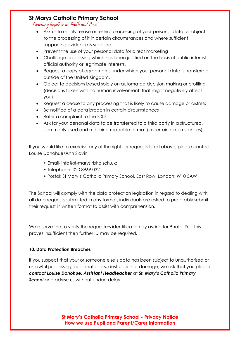'Learning together in Faith and Love'

- Ask us to rectify, erase or restrict processing of your personal data, or object to the processing of it in certain circumstances and where sufficient supporting evidence is supplied
- Prevent the use of your personal data for direct marketing
- Challenge processing which has been justified on the basis of public interest, official authority or legitimate interests.
- Request a copy of agreements under which your personal data is transferred outside of the United Kingdom.
- Object to decisions based solely on automated decision making or profiling (decisions taken with no human involvement, that might negatively affect you)
- Request a cease to any processing that is likely to cause damage or distress
- Be notified of a data breach in certain circumstances
- Refer a complaint to the ICO
- Ask for your personal data to be transferred to a third party in a structured, commonly used and machine-readable format (in certain circumstances).

If you would like to exercise any of the rights or requests listed above, please contact Louise Donohue/Ann Slavin

- Email- info@st-marys.rbkc.sch.uk;
- Telephone: 020 8969 0321
- Postal: St Mary's Catholic Primary School, East Row, London; W10 5AW

The School will comply with the data protection legislation in regard to dealing with all data requests submitted in any format, individuals are asked to preferably submit their request in written format to assist with comprehension.

We reserve the to verify the requesters identification by asking for Photo ID. If this proves insufficient then further ID may be required.

#### **10. Data Protection Breaches**

If you suspect that your or someone else's data has been subject to unauthorised or unlawful processing, accidental loss, destruction or damage, we ask that you please *contact Louise Donohue, Assistant Headteacher* at *St. Mary's Catholic Primary*  **School** and advise us without undue delay.